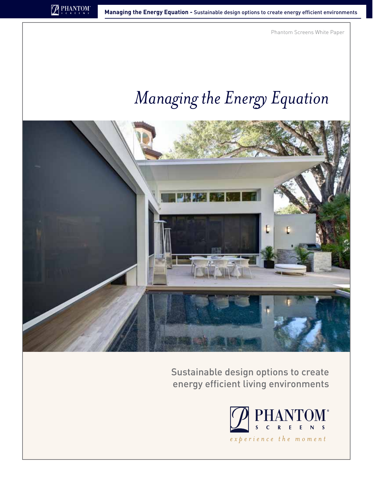Phantom Screens White Paper

# *Managing the Energy Equation*



Sustainable design options to create energy efficient living environments

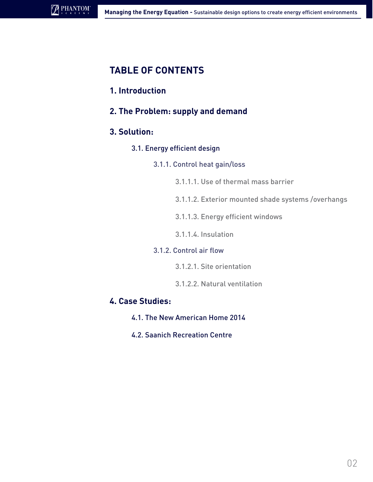# **Table of Contents**

## **1. Introduction**

**2. The Problem: supply and demand**

## **3. Solution:**

3.1. Energy efficient design

## 3.1.1. Control heat gain/loss

- 3.1.1.1. Use of thermal mass barrier
- 3.1.1.2. Exterior mounted shade systems /overhangs
- 3.1.1.3. Energy efficient windows
- 3.1.1.4. Insulation

#### 3.1.2. Control air flow

- 3.1.2.1. Site orientation
- 3.1.2.2. Natural ventilation

## **4. Case Studies:**

- 4.1. The New American Home 2014
- 4.2. Saanich Recreation Centre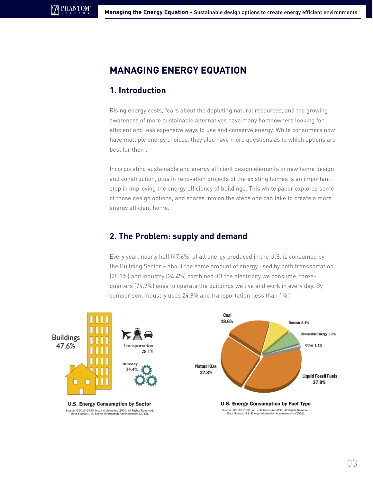# **MANAGING ENERGY EQUATION**

## **1. Introduction**

Rising energy costs, fears about the depleting natural resources, and the growing awareness of more sustainable alternatives have many homeowners looking for efficient and less expensive ways to use and conserve energy. While consumers now have multiple energy choices, they also have more questions as to which options are best for them.

Incorporating sustainable and energy efficient design elements in new home design and construction, plus in renovation projects of the existing homes is an important step in improving the energy efficiency of buildings. This white paper explores some of those design options, and shares info on the steps one can take to create a more energy efficient home.

## **2. The Problem: supply and demand**

Every year, nearly half (47.6%) of all energy produced in the U.S. is consumed by the Building Sector – about the same amount of energy used by both transportation (28.1%) and industry (24.4%) combined. Of the electricity we consume, threequarters (74.9%) goes to operate the buildings we live and work in every day. By comparison, industry uses 24.9% and transportation, less than 1%.1

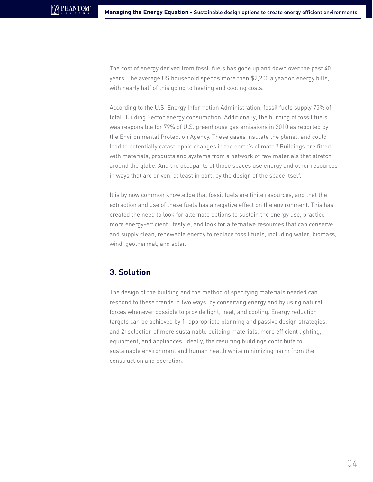The cost of energy derived from fossil fuels has gone up and down over the past 40 years. The average US household spends more than \$2,200 a year on energy bills, with nearly half of this going to heating and cooling costs.

According to the U.S. Energy Information Administration, fossil fuels supply 75% of total Building Sector energy consumption. Additionally, the burning of fossil fuels was responsible for 79% of U.S. greenhouse gas emissions in 2010 as reported by the Environmental Protection Agency. These gases insulate the planet, and could lead to potentially catastrophic changes in the earth's climate.<sup>3</sup> Buildings are fitted with materials, products and systems from a network of raw materials that stretch around the globe. And the occupants of those spaces use energy and other resources in ways that are driven, at least in part, by the design of the space itself.

It is by now common knowledge that fossil fuels are finite resources, and that the extraction and use of these fuels has a negative effect on the environment. This has created the need to look for alternate options to sustain the energy use, practice more energy-efficient lifestyle, and look for alternative resources that can conserve and supply clean, renewable energy to replace fossil fuels, including water, biomass, wind, geothermal, and solar.

## **3. Solution**

The design of the building and the method of specifying materials needed can respond to these trends in two ways: by conserving energy and by using natural forces whenever possible to provide light, heat, and cooling. Energy reduction targets can be achieved by 1) appropriate planning and passive design strategies, and 2) selection of more sustainable building materials, more efficient lighting, equipment, and appliances. Ideally, the resulting buildings contribute to sustainable environment and human health while minimizing harm from the construction and operation.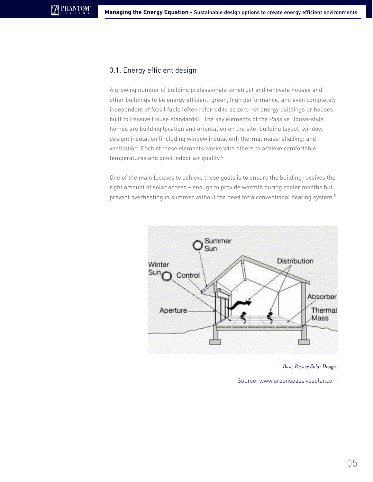#### 3.1. Energy efficient design

**PHANTOM** 

A growing number of building professionals construct and renovate houses and other buildings to be energy efficient, green, high performance, and even completely independent of fossil fuels (often referred to as zero net energy buildings or houses built to Passive House standards). The key elements of the Passive House-style homes are building location and orientation on the site; building layout; window design; insulation (including window insulation); thermal mass; shading; and ventilation. Each of these elements works with others to achieve comfortable temperatures and good indoor air quality.<sup>4</sup>

One of the main focuses to achieve these goals is to ensure the building receives the right amount of solar access – enough to provide warmth during cooler months but prevent overheating in summer without the need for a conventional heating system.<sup>5</sup>



#### *Basic Passive Solar Design.*

Source: [www.greenspassivesolar.com](http://greenpassivesolar.com)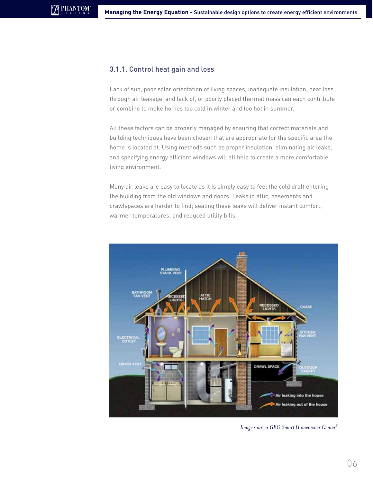#### 3.1.1. Control heat gain and loss

Lack of sun, poor solar orientation of living spaces, inadequate insulation, heat loss through air leakage, and lack of, or poorly placed thermal mass can each contribute or combine to make homes too cold in winter and too hot in summer.

All these factors can be properly managed by ensuring that correct materials and building techniques have been chosen that are appropriate for the specific area the home is located at. Using methods such as proper insulation, eliminating air leaks, and specifying energy efficient windows will all help to create a more comfortable living environment.

Many air leaks are easy to locate as it is simply easy to feel the cold draft entering the building from the old windows and doors. Leaks in attic, basements and crawlspaces are harder to find; sealing these leaks will deliver instant comfort, warmer temperatures, and reduced utility bills.



*Image source: GEO Smart Homeowner Center6*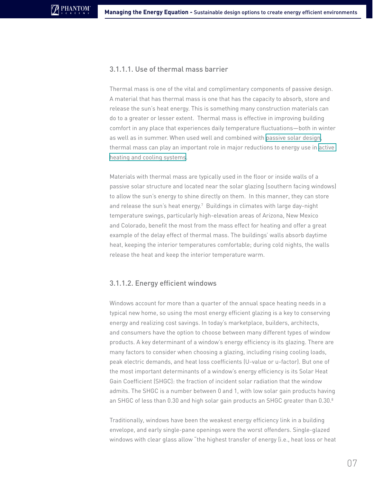#### 3.1.1.1. Use of thermal mass barrier

Thermal mass is one of the vital and complimentary components of passive design. A material that has thermal mass is one that has the capacity to absorb, store and release the sun's heat energy. This is something many construction materials can do to a greater or lesser extent. Thermal mass is effective in improving building comfort in any place that experiences daily temperature fluctuations—both in winter as well as in summer. When used well and combined with [passive solar design](http://en.wikipedia.org/wiki/Passive_solar_design), thermal mass can play an important role in major reductions to energy use in [active](http://en.wikipedia.org/wiki/HVAC)  [heating and cooling systems](http://en.wikipedia.org/wiki/HVAC).

Materials with thermal mass are typically used in the floor or inside walls of a passive solar structure and located near the solar glazing (southern facing windows) to allow the sun's energy to shine directly on them. In this manner, they can store and release the sun's heat energy.<sup>7</sup> Buildings in climates with large day-night temperature swings, particularly high-elevation areas of Arizona, New Mexico and Colorado, benefit the most from the mass effect for heating and offer a great example of the delay effect of thermal mass. The buildings' walls absorb daytime heat, keeping the interior temperatures comfortable; during cold nights, the walls release the heat and keep the interior temperature warm.

#### 3.1.1.2. Energy efficient windows

Windows account for more than a quarter of the annual space heating needs in a typical new home, so using the most energy efficient glazing is a key to conserving energy and realizing cost savings. In today's marketplace, builders, architects, and consumers have the option to choose between many different types of window products. A key determinant of a window's energy efficiency is its glazing. There are many factors to consider when choosing a glazing, including rising cooling loads, peak electric demands, and heat loss coefficients (U-value or u-factor). But one of the most important determinants of a window's energy efficiency is its Solar Heat Gain Coefficient (SHGC): the fraction of incident solar radiation that the window admits. The SHGC is a number between 0 and 1, with low solar gain products having an SHGC of less than 0.30 and high solar gain products an SHGC greater than 0.30.8

Traditionally, windows have been the weakest energy efficiency link in a building envelope, and early single-pane openings were the worst offenders. Single-glazed windows with clear glass allow "the highest transfer of energy (i.e., heat loss or heat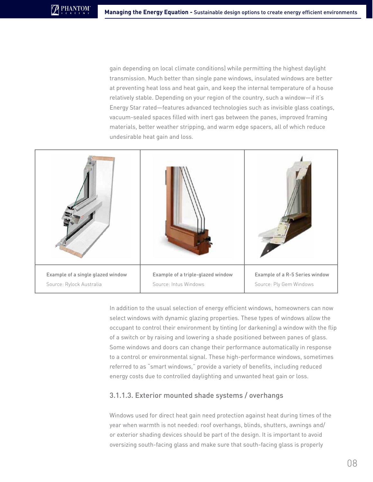gain depending on local climate conditions) while permitting the highest daylight transmission. Much better than single pane windows, insulated windows are better at preventing heat loss and heat gain, and keep the internal temperature of a house relatively stable. Depending on your region of the country, such a window—if it's Energy Star rated—features advanced technologies such as invisible glass coatings, vacuum-sealed spaces filled with inert gas between the panes, improved framing materials, better weather stripping, and warm edge spacers, all of which reduce undesirable heat gain and loss.



In addition to the usual selection of energy efficient windows, homeowners can now select windows with dynamic glazing properties. These types of windows allow the occupant to control their environment by tinting (or darkening) a window with the flip of a switch or by raising and lowering a shade positioned between panes of glass. Some windows and doors can change their performance automatically in response to a control or environmental signal. These high-performance windows, sometimes referred to as "smart windows," provide a variety of benefits, including reduced energy costs due to controlled daylighting and unwanted heat gain or loss.

#### 3.1.1.3. Exterior mounted shade systems / overhangs

Windows used for direct heat gain need protection against heat during times of the year when warmth is not needed: roof overhangs, blinds, shutters, awnings and/ or exterior shading devices should be part of the design. It is important to avoid oversizing south-facing glass and make sure that south-facing glass is properly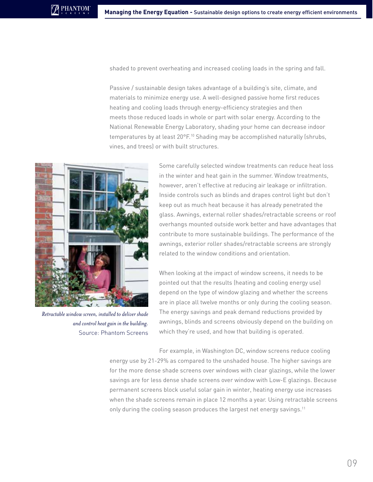shaded to prevent overheating and increased cooling loads in the spring and fall.

Passive / sustainable design takes advantage of a building's site, climate, and materials to minimize energy use. A well-designed passive home first reduces heating and cooling loads through energy-efficiency strategies and then meets those reduced loads in whole or part with solar energy. According to the National Renewable Energy Laboratory, shading your home can decrease indoor temperatures by at least 20°F.<sup>10</sup> Shading may be accomplished naturally (shrubs, vines, and trees) or with built structures.



*Retractable window screen, installed to deliver shade and control heat gain in the building.* Source: Phantom Screens

Some carefully selected window treatments can reduce heat loss in the winter and heat gain in the summer. Window treatments, however, aren't effective at reducing air leakage or infiltration. Inside controls such as blinds and drapes control light but don't keep out as much heat because it has already penetrated the glass. Awnings, external roller shades/retractable screens or roof overhangs mounted outside work better and have advantages that contribute to more sustainable buildings. The performance of the awnings, exterior roller shades/retractable screens are strongly related to the window conditions and orientation.

When looking at the impact of window screens, it needs to be pointed out that the results (heating and cooling energy use) depend on the type of window glazing and whether the screens are in place all twelve months or only during the cooling season. The energy savings and peak demand reductions provided by awnings, blinds and screens obviously depend on the building on which they're used, and how that building is operated.

For example, in Washington DC, window screens reduce cooling energy use by 21-29% as compared to the unshaded house. The higher savings are for the more dense shade screens over windows with clear glazings, while the lower savings are for less dense shade screens over window with Low-E glazings. Because permanent screens block useful solar gain in winter, heating energy use increases when the shade screens remain in place 12 months a year. Using retractable screens only during the cooling season produces the largest net energy savings.<sup>11</sup>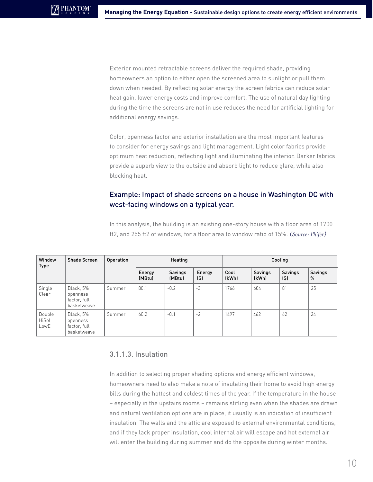Exterior mounted retractable screens deliver the required shade, providing homeowners an option to either open the screened area to sunlight or pull them down when needed. By reflecting solar energy the screen fabrics can reduce solar heat gain, lower energy costs and improve comfort. The use of natural day lighting during the time the screens are not in use reduces the need for artificial lighting for additional energy savings.

Color, openness factor and exterior installation are the most important features to consider for energy savings and light management. Light color fabrics provide optimum heat reduction, reflecting light and illuminating the interior. Darker fabrics provide a superb view to the outside and absorb light to reduce glare, while also blocking heat.

## Example: Impact of shade screens on a house in Washington DC with west-facing windows on a typical year.

In this analysis, the building is an existing one-story house with a floor area of 1700 ft2, and 255 ft2 of windows, for a floor area to window ratio of 15%. *(Source: Phifer)*

| Window<br><b>Type</b>   | <b>Shade Screen</b>                                  | Operation | Heating          |                   |               | Cooling       |                         |                |                 |
|-------------------------|------------------------------------------------------|-----------|------------------|-------------------|---------------|---------------|-------------------------|----------------|-----------------|
|                         |                                                      |           | Energy<br>(MBtu) | Savings<br>(MBtu) | Energy<br>(5) | Cool<br>(kWh) | <b>Savings</b><br>(kWh) | Savings<br>(5) | Savings<br>$\%$ |
| Single<br>Clear         | Black, 5%<br>openness<br>factor, full<br>basketweave | Summer    | 80.1             | $-0.2$            | $-3$          | 1766          | 604                     | 81             | 25              |
| Double<br>HiSol<br>LowE | Black, 5%<br>openness<br>factor, full<br>basketweave | Summer    | 60.2             | $-0.1$            | $-2$          | 1497          | 462                     | 62             | 24              |

#### 3.1.1.3. Insulation

In addition to selecting proper shading options and energy efficient windows, homeowners need to also make a note of insulating their home to avoid high energy bills during the hottest and coldest times of the year. If the temperature in the house – especially in the upstairs rooms – remains stifling even when the shades are drawn and natural ventilation options are in place, it usually is an indication of insufficient insulation. The walls and the attic are exposed to external environmental conditions, and if they lack proper insulation, cool internal air will escape and hot external air will enter the building during summer and do the opposite during winter months.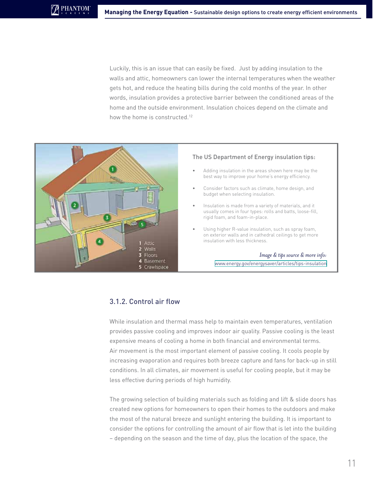Luckily, this is an issue that can easily be fixed. Just by adding insulation to the walls and attic, homeowners can lower the internal temperatures when the weather gets hot, and reduce the heating bills during the cold months of the year. In other words, insulation provides a protective barrier between the conditioned areas of the home and the outside environment. Insulation choices depend on the climate and how the home is constructed.<sup>12</sup>



#### The US Department of Energy insulation tips:

- Adding insulation in the areas shown here may be the best way to improve your home's energy efficiency.
- Consider factors such as climate, home design, and budget when selecting insulation.
- Insulation is made from a variety of materials, and it usually comes in four types: rolls and batts, loose-fill, rigid foam, and foam-in-place.
- Using higher R-value insulation, such as spray foam, on exterior walls and in cathedral ceilings to get more insulation with less thickness.

#### *Image & tips source & more info:*  [www.energy.gov/energysaver/articles/tips-insulation](http://www.energy.gov/energysaver/articles/tips-insulation)

#### 3.1.2. Control air flow

While insulation and thermal mass help to maintain even temperatures, ventilation provides passive cooling and improves indoor air quality. Passive cooling is the least expensive means of cooling a home in both financial and environmental terms. Air movement is the most important element of passive cooling. It cools people by increasing evaporation and requires both breeze capture and fans for back-up in still conditions. In all climates, air movement is useful for cooling people, but it may be less effective during periods of high humidity.

The growing selection of building materials such as folding and lift & slide doors has created new options for homeowners to open their homes to the outdoors and make the most of the natural breeze and sunlight entering the building. It is important to consider the options for controlling the amount of air flow that is let into the building – depending on the season and the time of day, plus the location of the space, the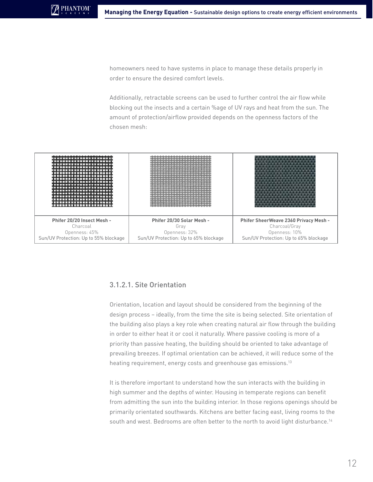homeowners need to have systems in place to manage these details properly in order to ensure the desired comfort levels.

Additionally, retractable screens can be used to further control the air flow while blocking out the insects and a certain %age of UV rays and heat from the sun. The amount of protection/airflow provided depends on the openness factors of the chosen mesh:



#### 3.1.2.1. Site Orientation

Orientation, location and layout should be considered from the beginning of the design process – ideally, from the time the site is being selected. Site orientation of the building also plays a key role when creating natural air flow through the building in order to either heat it or cool it naturally. Where passive cooling is more of a priority than passive heating, the building should be oriented to take advantage of prevailing breezes. If optimal orientation can be achieved, it will reduce some of the heating requirement, energy costs and greenhouse gas emissions.<sup>13</sup>

It is therefore important to understand how the sun interacts with the building in high summer and the depths of winter. Housing in temperate regions can benefit from admitting the sun into the building interior. In those regions openings should be primarily orientated southwards. Kitchens are better facing east, living rooms to the south and west. Bedrooms are often better to the north to avoid light disturbance.<sup>14</sup>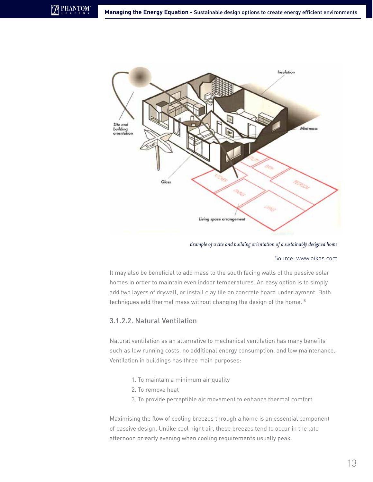

*Example of a site and building orientation of a sustainably designed home*

#### Source: [www.oikos.com](http://oikos.com)

It may also be beneficial to add mass to the south facing walls of the passive solar homes in order to maintain even indoor temperatures. An easy option is to simply add two layers of drywall, or install clay tile on concrete board underlayment. Both techniques add thermal mass without changing the design of the home.15

#### 3.1.2.2. Natural Ventilation

**PHANTOM** 

Natural ventilation as an alternative to mechanical ventilation has many benefits such as low running costs, no additional energy consumption, and low maintenance. Ventilation in buildings has three main purposes:

- 1. To maintain a minimum air quality
- 2. To remove heat
- 3. To provide perceptible air movement to enhance thermal comfort

Maximising the flow of cooling breezes through a home is an essential component of passive design. Unlike cool night air, these breezes tend to occur in the late afternoon or early evening when cooling requirements usually peak.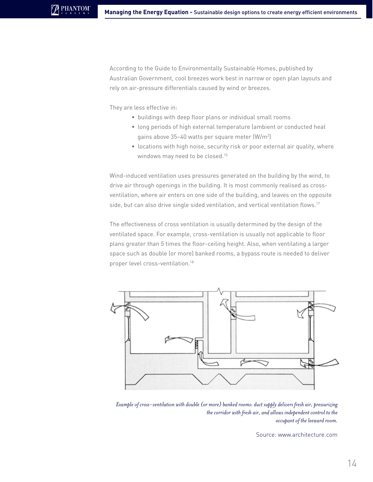According to the Guide to Environmentally Sustainable Homes, published by Australian Government, cool breezes work best in narrow or open plan layouts and rely on air-pressure differentials caused by wind or breezes.

They are less effective in:

- buildings with deep floor plans or individual small rooms
- long periods of high external temperature (ambient or conducted heat gains above  $35-40$  watts per square meter (W/m<sup>2</sup>)
- locations with high noise, security risk or poor external air quality, where windows may need to be closed.<sup>15</sup>

Wind-induced ventilation uses pressures generated on the building by the wind, to drive air through openings in the building. It is most commonly realised as crossventilation, where air enters on one side of the building, and leaves on the opposite side, but can also drive single sided ventilation, and vertical ventilation flows.<sup>17</sup>

The effectiveness of cross ventilation is usually determined by the design of the ventilated space. For example, cross-ventilation is usually not applicable to floor plans greater than 5 times the floor-ceiling height. Also, when ventilating a larger space such as double (or more) banked rooms, a bypass route is needed to deliver proper level cross-ventilation.18



*Example of cross-ventilation with double (or more) banked rooms: duct supply delivers fresh air, pressurizing the corridor with fresh air, and allows independent control to the occupant of the leeward room.*

Source: [www.architecture.com](http://www.architecture.com)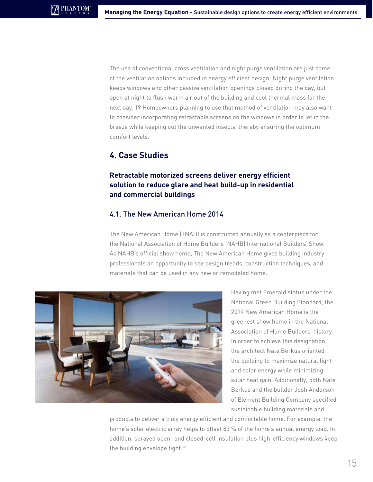The use of conventional cross ventilation and night purge ventilation are just some of the ventilation options included in energy efficient design. Night purge ventilation keeps windows and other passive ventilation openings closed during the day, but open at night to flush warm air out of the building and cool thermal mass for the next day. 19 Homeowners planning to use that method of ventilation may also want to consider incorporating retractable screens on the windows in order to let in the breeze while keeping out the unwanted insects, thereby ensuring the optimum comfort levels.

## **4. Case Studies**

## **Retractable motorized screens deliver energy efficient solution to reduce glare and heat build-up in residential and commercial buildings**

#### 4.1. The New American Home 2014

The New American Home (TNAH) is constructed annually as a centerpiece for the National Association of Home Builders (NAHB) International Builders' Show. As NAHB's official show home, The New American Home gives building industry professionals an opportunity to see design trends, construction techniques, and materials that can be used in any new or remodeled home.



Having met Emerald status under the National Green Building Standard, the 2014 New American Home is the greenest show home in the National Association of Home Builders' history. In order to achieve this designation, the architect Nate Berkus oriented the building to maximize natural light and solar energy while minimizing solar heat gain. Additionally, both Nate Berkus and the builder Josh Anderson of Element Building Company specified sustainable building materials and

products to deliver a truly energy efficient and comfortable home. For example, the home's solar electric array helps to offset 83 % of the home's annual energy load. In addition, sprayed open- and closed-cell insulation plus high-efficiency windows keep the building envelope tight.<sup>20</sup>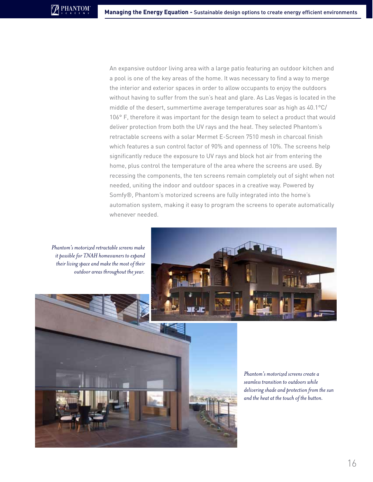An expansive outdoor living area with a large patio featuring an outdoor kitchen and a pool is one of the key areas of the home. It was necessary to find a way to merge the interior and exterior spaces in order to allow occupants to enjoy the outdoors without having to suffer from the sun's heat and glare. As Las Vegas is located in the middle of the desert, summertime average temperatures soar as high as 40.1°C/ 106° F, therefore it was important for the design team to select a product that would deliver protection from both the UV rays and the heat. They selected Phantom's retractable screens with a solar Mermet E-Screen 7510 mesh in charcoal finish which features a sun control factor of 90% and openness of 10%. The screens help significantly reduce the exposure to UV rays and block hot air from entering the home, plus control the temperature of the area where the screens are used. By recessing the components, the ten screens remain completely out of sight when not needed, uniting the indoor and outdoor spaces in a creative way. Powered by Somfy®, Phantom's motorized screens are fully integrated into the home's automation system, making it easy to program the screens to operate automatically whenever needed.

*Phantom's motorized retractable screens make it possible for TNAH homeowners to expand their living space and make the most of their outdoor areas throughout the year.*





*Phantom's motorized screens create a seamless transition to outdoors while delivering shade and protection from the sun and the heat at the touch of the button.*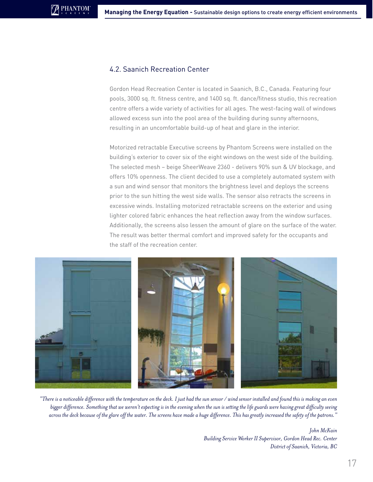#### 4.2. Saanich Recreation Center

**PHANTOM** 

Gordon Head Recreation Center is located in Saanich, B.C., Canada. Featuring four pools, 3000 sq. ft. fitness centre, and 1400 sq. ft. dance/fitness studio, this recreation centre offers a wide variety of activities for all ages. The west-facing wall of windows allowed excess sun into the pool area of the building during sunny afternoons, resulting in an uncomfortable build-up of heat and glare in the interior.

Motorized retractable Executive screens by Phantom Screens were installed on the building's exterior to cover six of the eight windows on the west side of the building. The selected mesh – beige SheerWeave 2360 - delivers 90% sun & UV blockage, and offers 10% openness. The client decided to use a completely automated system with a sun and wind sensor that monitors the brightness level and deploys the screens prior to the sun hitting the west side walls. The sensor also retracts the screens in excessive winds. Installing motorized retractable screens on the exterior and using lighter colored fabric enhances the heat reflection away from the window surfaces. Additionally, the screens also lessen the amount of glare on the surface of the water. The result was better thermal comfort and improved safety for the occupants and the staff of the recreation center.



*"There is a noticeable difference with the temperature on the deck. I just had the sun sensor / wind sensor installed and found this is making an even bigger difference. Something that we weren't expecting is in the evening when the sun is setting the life guards were having great difficulty seeing across the deck because of the glare off the water. The screens have made a huge difference. This has greatly increased the safety of the patrons."*

*John McKain Building Service Worker II Supervisor, Gordon Head Rec. Center District of Saanich, Victoria, BC*